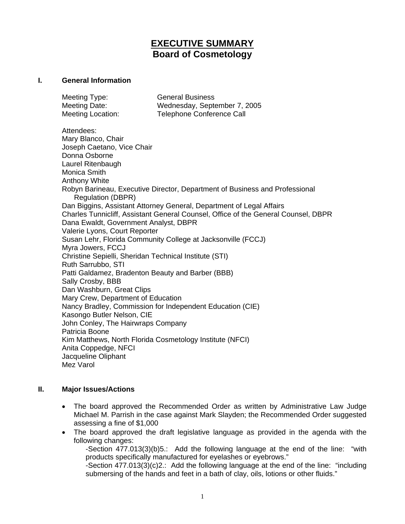# **EXECUTIVE SUMMARY Board of Cosmetology**

### **I. General Information**

| Meeting Type:     | <b>General Business</b>      |
|-------------------|------------------------------|
| Meeting Date:     | Wednesday, September 7, 2005 |
| Meeting Location: | Telephone Conference Call    |

Attendees: Mary Blanco, Chair Joseph Caetano, Vice Chair Donna Osborne Laurel Ritenbaugh Monica Smith Anthony White Robyn Barineau, Executive Director, Department of Business and Professional Regulation (DBPR) Dan Biggins, Assistant Attorney General, Department of Legal Affairs Charles Tunnicliff, Assistant General Counsel, Office of the General Counsel, DBPR Dana Ewaldt, Government Analyst, DBPR Valerie Lyons, Court Reporter Susan Lehr, Florida Community College at Jacksonville (FCCJ) Myra Jowers, FCCJ Christine Sepielli, Sheridan Technical Institute (STI) Ruth Sarrubbo, STI Patti Galdamez, Bradenton Beauty and Barber (BBB) Sally Crosby, BBB Dan Washburn, Great Clips Mary Crew, Department of Education Nancy Bradley, Commission for Independent Education (CIE) Kasongo Butler Nelson, CIE John Conley, The Hairwraps Company Patricia Boone Kim Matthews, North Florida Cosmetology Institute (NFCI) Anita Coppedge, NFCI Jacqueline Oliphant Mez Varol

### **II. Major Issues/Actions**

- The board approved the Recommended Order as written by Administrative Law Judge Michael M. Parrish in the case against Mark Slayden; the Recommended Order suggested assessing a fine of \$1,000
- The board approved the draft legislative language as provided in the agenda with the following changes:

-Section 477.013(3)(b)5.: Add the following language at the end of the line: "with products specifically manufactured for eyelashes or eyebrows."

-Section 477.013(3)(c)2.: Add the following language at the end of the line: "including submersing of the hands and feet in a bath of clay, oils, lotions or other fluids."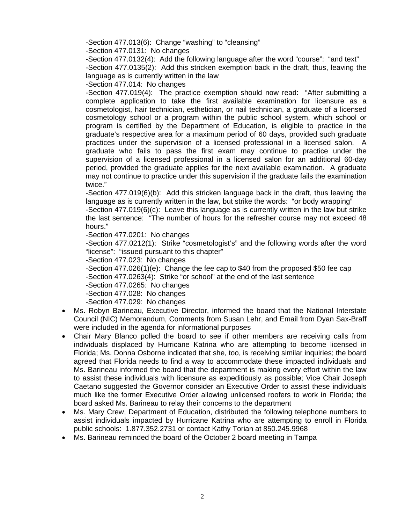-Section 477.013(6): Change "washing" to "cleansing"

-Section 477.0131: No changes

-Section 477.0132(4): Add the following language after the word "course": "and text" -Section 477.0135(2): Add this stricken exemption back in the draft, thus, leaving the language as is currently written in the law

-Section 477.014: No changes

-Section 477.019(4): The practice exemption should now read: "After submitting a complete application to take the first available examination for licensure as a cosmetologist, hair technician, esthetician, or nail technician, a graduate of a licensed cosmetology school or a program within the public school system, which school or program is certified by the Department of Education, is eligible to practice in the graduate's respective area for a maximum period of 60 days, provided such graduate practices under the supervision of a licensed professional in a licensed salon. A graduate who fails to pass the first exam may continue to practice under the supervision of a licensed professional in a licensed salon for an additional 60-day period, provided the graduate applies for the next available examination. A graduate may not continue to practice under this supervision if the graduate fails the examination twice."

-Section 477.019(6)(b): Add this stricken language back in the draft, thus leaving the language as is currently written in the law, but strike the words: "or body wrapping"

-Section 477.019(6)(c): Leave this language as is currently written in the law but strike the last sentence: "The number of hours for the refresher course may not exceed 48 hours."

-Section 477.0201: No changes

-Section 477.0212(1): Strike "cosmetologist's" and the following words after the word "license": "issued pursuant to this chapter"

-Section 477.023: No changes

-Section 477.026(1)(e): Change the fee cap to \$40 from the proposed \$50 fee cap

-Section 477.0263(4): Strike "or school" at the end of the last sentence

-Section 477.0265: No changes

-Section 477.028: No changes

-Section 477.029: No changes

- Ms. Robyn Barineau, Executive Director, informed the board that the National Interstate Council (NIC) Memorandum, Comments from Susan Lehr, and Email from Dyan Sax-Braff were included in the agenda for informational purposes
- Chair Mary Blanco polled the board to see if other members are receiving calls from individuals displaced by Hurricane Katrina who are attempting to become licensed in Florida; Ms. Donna Osborne indicated that she, too, is receiving similar inquiries; the board agreed that Florida needs to find a way to accommodate these impacted individuals and Ms. Barineau informed the board that the department is making every effort within the law to assist these individuals with licensure as expeditiously as possible; Vice Chair Joseph Caetano suggested the Governor consider an Executive Order to assist these individuals much like the former Executive Order allowing unlicensed roofers to work in Florida; the board asked Ms. Barineau to relay their concerns to the department
- Ms. Mary Crew, Department of Education, distributed the following telephone numbers to assist individuals impacted by Hurricane Katrina who are attempting to enroll in Florida public schools: 1.877.352.2731 or contact Kathy Torian at 850.245.9968
- Ms. Barineau reminded the board of the October 2 board meeting in Tampa